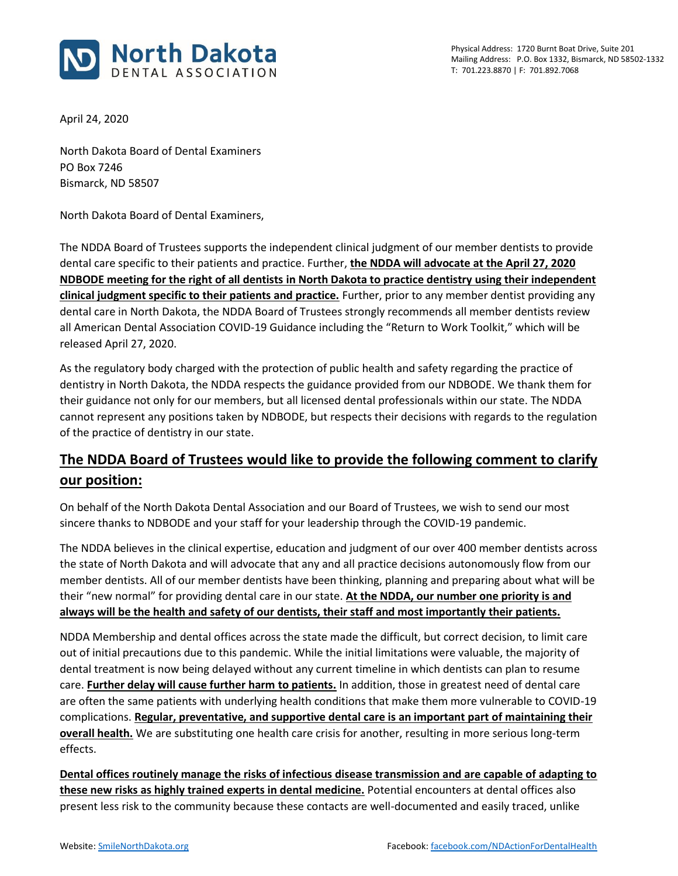

Physical Address: 1720 Burnt Boat Drive, Suite 201 Mailing Address: P.O. Box 1332, Bismarck, ND 58502-1332 T: 701.223.8870 | F: 701.892.7068

April 24, 2020

North Dakota Board of Dental Examiners PO Box 7246 Bismarck, ND 58507

North Dakota Board of Dental Examiners,

The NDDA Board of Trustees supports the independent clinical judgment of our member dentists to provide dental care specific to their patients and practice. Further, **the NDDA will advocate at the April 27, 2020 NDBODE meeting for the right of all dentists in North Dakota to practice dentistry using their independent clinical judgment specific to their patients and practice.** Further, prior to any member dentist providing any dental care in North Dakota, the NDDA Board of Trustees strongly recommends all member dentists review all American Dental Association COVID-19 Guidance including the "Return to Work Toolkit," which will be released April 27, 2020.

As the regulatory body charged with the protection of public health and safety regarding the practice of dentistry in North Dakota, the NDDA respects the guidance provided from our NDBODE. We thank them for their guidance not only for our members, but all licensed dental professionals within our state. The NDDA cannot represent any positions taken by NDBODE, but respects their decisions with regards to the regulation of the practice of dentistry in our state.

## **The NDDA Board of Trustees would like to provide the following comment to clarify our position:**

On behalf of the North Dakota Dental Association and our Board of Trustees, we wish to send our most sincere thanks to NDBODE and your staff for your leadership through the COVID-19 pandemic.

The NDDA believes in the clinical expertise, education and judgment of our over 400 member dentists across the state of North Dakota and will advocate that any and all practice decisions autonomously flow from our member dentists. All of our member dentists have been thinking, planning and preparing about what will be their "new normal" for providing dental care in our state. **At the NDDA, our number one priority is and always will be the health and safety of our dentists, their staff and most importantly their patients.**

NDDA Membership and dental offices across the state made the difficult, but correct decision, to limit care out of initial precautions due to this pandemic. While the initial limitations were valuable, the majority of dental treatment is now being delayed without any current timeline in which dentists can plan to resume care. **Further delay will cause further harm to patients.** In addition, those in greatest need of dental care are often the same patients with underlying health conditions that make them more vulnerable to COVID-19 complications. **Regular, preventative, and supportive dental care is an important part of maintaining their overall health.** We are substituting one health care crisis for another, resulting in more serious long-term effects.

**Dental offices routinely manage the risks of infectious disease transmission and are capable of adapting to these new risks as highly trained experts in dental medicine.** Potential encounters at dental offices also present less risk to the community because these contacts are well-documented and easily traced, unlike